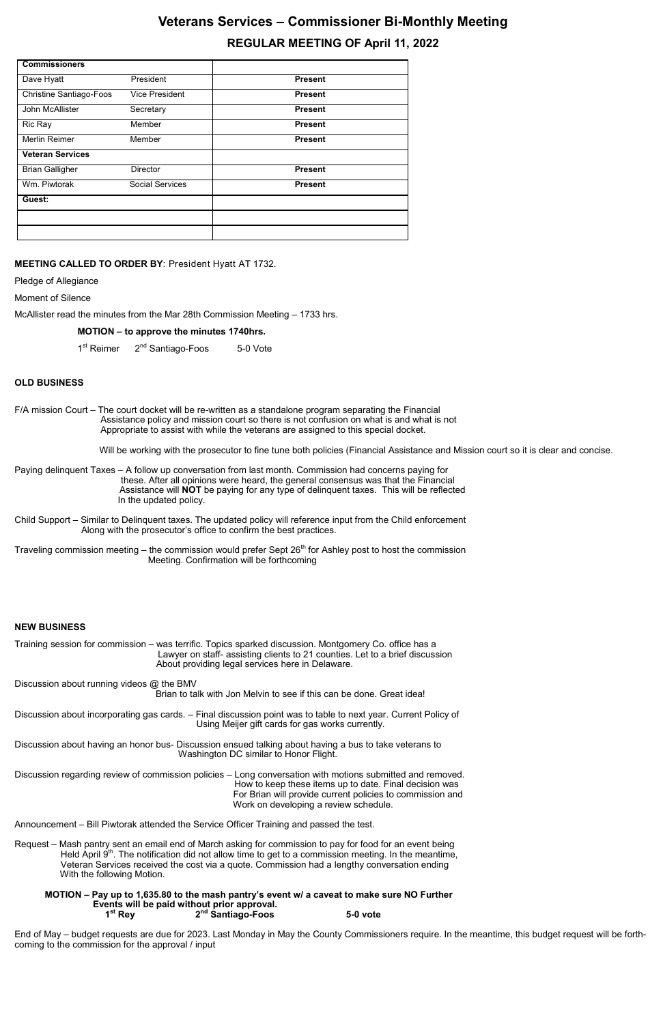# **Veterans Services – Commissioner Bi-Monthly Meeting REGULAR MEETING OF April 11, 2022**

# **MEETING CALLED TO ORDER BY**: President Hyatt AT 1732.

Pledge of Allegiance

Moment of Silence

McAllister read the minutes from the Mar 28th Commission Meeting – 1733 hrs.

#### **MOTION – to approve the minutes 1740hrs.**

1<sup>st</sup> Reimer  $2<sup>nd</sup>$  Santiago-Foos 5-0 Vote

#### **OLD BUSINESS**

F/A mission Court – The court docket will be re-written as a standalone program separating the Financial Assistance policy and mission court so there is not confusion on what is and what is not Appropriate to assist with while the veterans are assigned to this special docket.

Will be working with the prosecutor to fine tune both policies (Financial Assistance and Mission court so it is clear and concise.

Paying delinquent Taxes – A follow up conversation from last month. Commission had concerns paying for these. After all opinions were heard, the general consensus was that the Financial Assistance will **NOT** be paying for any type of delinquent taxes. This will be reflected In the updated policy.

- Child Support Similar to Delinquent taxes. The updated policy will reference input from the Child enforcement Along with the prosecutor's office to confirm the best practices.
- Traveling commission meeting the commission would prefer Sept  $26<sup>th</sup>$  for Ashley post to host the commission Meeting. Confirmation will be forthcoming

#### **NEW BUSINESS**

Training session for commission – was terrific. Topics sparked discussion. Montgomery Co. office has a Lawyer on staff- assisting clients to 21 counties. Let to a brief discussion About providing legal services here in Delaware.

Discussion about running videos @ the BMV

Brian to talk with Jon Melvin to see if this can be done. Great idea!

Discussion about incorporating gas cards. – Final discussion point was to table to next year. Current Policy of Using Meijer gift cards for gas works currently.

Discussion about having an honor bus- Discussion ensued talking about having a bus to take veterans to

Washington DC similar to Honor Flight.

Discussion regarding review of commission policies – Long conversation with motions submitted and removed. How to keep these items up to date. Final decision was For Brian will provide current policies to commission and Work on developing a review schedule.

Announcement – Bill Piwtorak attended the Service Officer Training and passed the test.

Request – Mash pantry sent an email end of March asking for commission to pay for food for an event being Held April  $9<sup>th</sup>$ . The notification did not allow time to get to a commission meeting. In the meantime, Veteran Services received the cost via a quote. Commission had a lengthy conversation ending With the following Motion.

#### **MOTION – Pay up to 1,635.80 to the mash pantry's event w/ a caveat to make sure NO Further Events will be paid without prior approval. 1 st Rey 2 nd Santiago-Foos 5-0 vote**

End of May – budget requests are due for 2023. Last Monday in May the County Commissioners require. In the meantime, this budget request will be forthcoming to the commission for the approval / input

| <b>Commissioners</b>           |                        |                |
|--------------------------------|------------------------|----------------|
| Dave Hyatt                     | President              | <b>Present</b> |
| <b>Christine Santiago-Foos</b> | <b>Vice President</b>  | <b>Present</b> |
| John McAllister                | Secretary              | <b>Present</b> |
| Ric Ray                        | Member                 | <b>Present</b> |
| Merlin Reimer                  | Member                 | <b>Present</b> |
| <b>Veteran Services</b>        |                        |                |
| <b>Brian Galligher</b>         | <b>Director</b>        | <b>Present</b> |
| Wm. Piwtorak                   | <b>Social Services</b> | <b>Present</b> |
| Guest:                         |                        |                |
|                                |                        |                |
|                                |                        |                |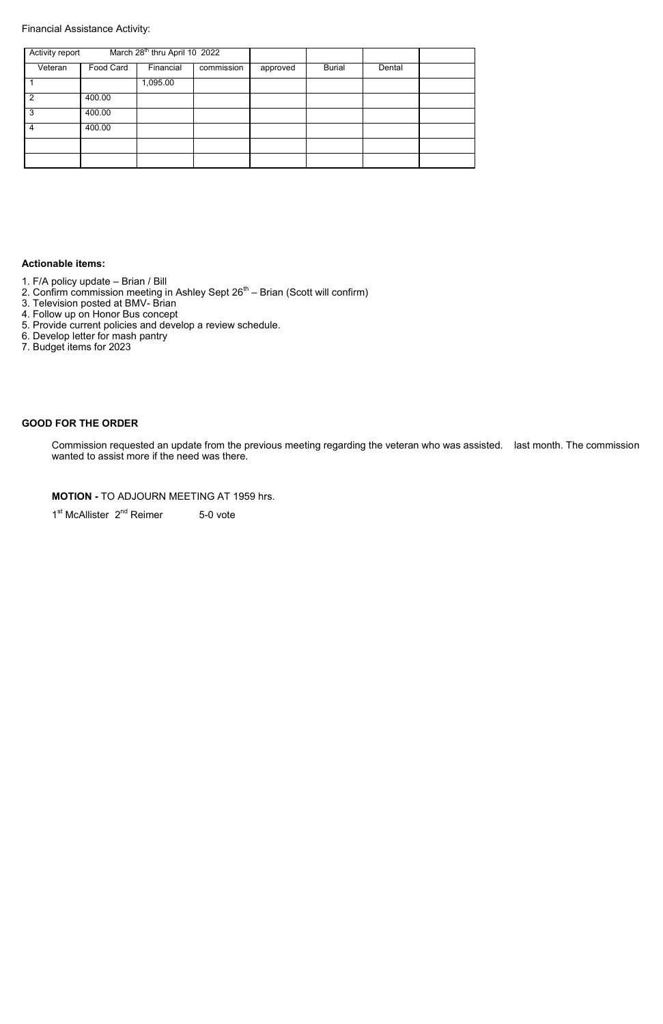### Financial Assistance Activity:

### **Actionable items:**

- 1. F/A policy update Brian / Bill
- 2. Con $f$ irm commission meeting in Ashley Sept 26 $^{\rm th}$  Brian (Scott will confirm)
- 3. Television posted at BMV- Brian
- 4. Follow up on Honor Bus concept
- 5. Provide current policies and develop a review schedule.
- 6. Develop letter for mash pantry
- 7. Budget items for 2023

# **GOOD FOR THE ORDER**

Commission requested an update from the previous meeting regarding the veteran who was assisted. last month. The commission wanted to assist more if the need was there.

**MOTION -** TO ADJOURN MEETING AT 1959 hrs.

1<sup>st</sup> McAllister 2<sup>nd</sup> Reimer 5-0 vote

| <b>Activity report</b> |           | March 28 <sup>th</sup> thru April 10 2022 |            |          |               |        |  |
|------------------------|-----------|-------------------------------------------|------------|----------|---------------|--------|--|
| Veteran                | Food Card | Financial                                 | commission | approved | <b>Burial</b> | Dental |  |
|                        |           | 1,095.00                                  |            |          |               |        |  |
| 2                      | 400.00    |                                           |            |          |               |        |  |
| 3                      | 400.00    |                                           |            |          |               |        |  |
| 4                      | 400.00    |                                           |            |          |               |        |  |
|                        |           |                                           |            |          |               |        |  |
|                        |           |                                           |            |          |               |        |  |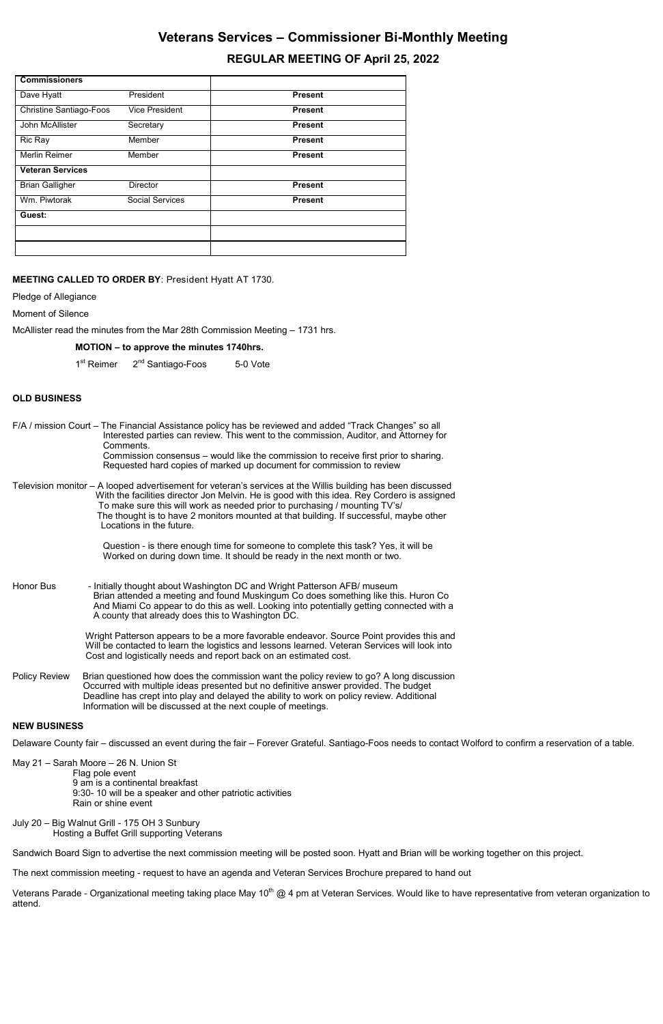# **Veterans Services – Commissioner Bi-Monthly Meeting REGULAR MEETING OF April 25, 2022**

### **MEETING CALLED TO ORDER BY**: President Hyatt AT 1730.

Pledge of Allegiance

Moment of Silence

McAllister read the minutes from the Mar 28th Commission Meeting – 1731 hrs.

### **MOTION – to approve the minutes 1740hrs.**

1<sup>st</sup> Reimer 2<sup>nd</sup> Santiago-Foos 5-0 Vote

# **OLD BUSINESS**

| F/A / mission Court – The Financial Assistance policy has be reviewed and added "Track Changes" so all<br>Interested parties can review. This went to the commission, Auditor, and Attorney for<br>Comments.<br>Commission consensus – would like the commission to receive first prior to sharing.<br>Requested hard copies of marked up document for commission to review |                                                                                                                                                                                                                                                                                                                                                                                                                 |  |  |  |  |  |  |  |
|-----------------------------------------------------------------------------------------------------------------------------------------------------------------------------------------------------------------------------------------------------------------------------------------------------------------------------------------------------------------------------|-----------------------------------------------------------------------------------------------------------------------------------------------------------------------------------------------------------------------------------------------------------------------------------------------------------------------------------------------------------------------------------------------------------------|--|--|--|--|--|--|--|
|                                                                                                                                                                                                                                                                                                                                                                             | Television monitor – A looped advertisement for veteran's services at the Willis building has been discussed<br>With the facilities director Jon Melvin. He is good with this idea. Rey Cordero is assigned<br>To make sure this will work as needed prior to purchasing / mounting TV's/<br>The thought is to have 2 monitors mounted at that building. If successful, maybe other<br>Locations in the future. |  |  |  |  |  |  |  |
|                                                                                                                                                                                                                                                                                                                                                                             | Question - is there enough time for someone to complete this task? Yes, it will be<br>Worked on during down time. It should be ready in the next month or two.                                                                                                                                                                                                                                                  |  |  |  |  |  |  |  |
| Honor Bus                                                                                                                                                                                                                                                                                                                                                                   | - Initially thought about Washington DC and Wright Patterson AFB/ museum<br>Brian attended a meeting and found Muskingum Co does something like this. Huron Co<br>And Miami Co appear to do this as well. Looking into potentially getting connected with a<br>A county that already does this to Washington DC.                                                                                                |  |  |  |  |  |  |  |
|                                                                                                                                                                                                                                                                                                                                                                             | Wright Patterson appears to be a more favorable endeavor. Source Point provides this and<br>Will be contacted to learn the logistics and lessons learned. Veteran Services will look into<br>Cost and logistically needs and report back on an estimated cost.                                                                                                                                                  |  |  |  |  |  |  |  |
| Policy Review                                                                                                                                                                                                                                                                                                                                                               | Brian questioned how does the commission want the policy review to go? A long discussion<br>Occurred with multiple ideas presented but no definitive answer provided. The budget<br>Deadline has crept into play and delayed the ability to work on policy review. Additional<br>Information will be discussed at the next couple of meetings.                                                                  |  |  |  |  |  |  |  |

Veterans Parade - Organizational meeting taking place May 10<sup>th</sup> @ 4 pm at Veteran Services. Would like to have representative from veteran organization to attend.

#### **NEW BUSINESS**

Delaware County fair – discussed an event during the fair – Forever Grateful. Santiago-Foos needs to contact Wolford to confirm a reservation of a table.

May 21 – Sarah Moore – 26 N. Union St Flag pole event 9 am is a continental breakfast 9:30- 10 will be a speaker and other patriotic activities Rain or shine event

July 20 – Big Walnut Grill - 175 OH 3 Sunbury Hosting a Buffet Grill supporting Veterans

Sandwich Board Sign to advertise the next commission meeting will be posted soon. Hyatt and Brian will be working together on this project.

The next commission meeting - request to have an agenda and Veteran Services Brochure prepared to hand out

| <b>Commissioners</b>           |                        |                |
|--------------------------------|------------------------|----------------|
| Dave Hyatt                     | President              | <b>Present</b> |
| <b>Christine Santiago-Foos</b> | <b>Vice President</b>  | <b>Present</b> |
| John McAllister                | Secretary              | <b>Present</b> |
| Ric Ray                        | Member                 | <b>Present</b> |
| Merlin Reimer                  | Member                 | <b>Present</b> |
| <b>Veteran Services</b>        |                        |                |
| <b>Brian Galligher</b>         | <b>Director</b>        | <b>Present</b> |
| Wm. Piwtorak                   | <b>Social Services</b> | <b>Present</b> |
| Guest:                         |                        |                |
|                                |                        |                |
|                                |                        |                |